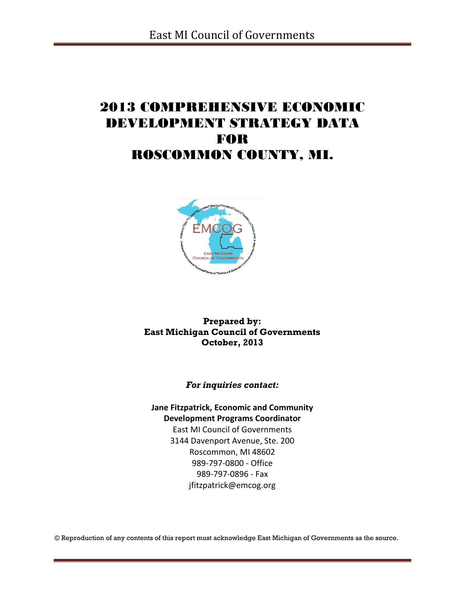# 2013 COMPREHENSIVE ECONOMIC DEVELOPMENT STRATEGY DATA FOR ROSCOMMON COUNTY, MI.



**Prepared by: East Michigan Council of Governments October, 2013**

*For inquiries contact:*

**Jane Fitzpatrick, Economic and Community Development Programs Coordinator** East MI Council of Governments 3144 Davenport Avenue, Ste. 200 Roscommon, MI 48602 989-797-0800 - Office 989-797-0896 - Fax

jfitzpatrick@emcog.org

© Reproduction of any contents of this report must acknowledge East Michigan of Governments as the source.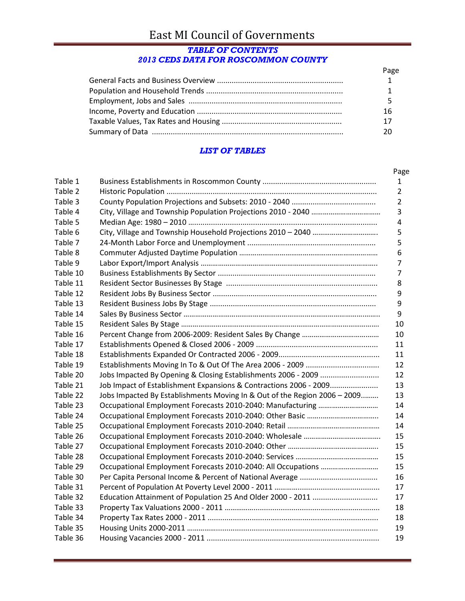# East MI Council of Governments

# *TABLE OF CONTENTS 2013 CEDS DATA FOR ROSCOMMON COUNTY*

| Page |
|------|
|      |
|      |
|      |
| 16   |
| 17   |
|      |

## *LIST OF TABLES*

|          |                                                                           | Page           |
|----------|---------------------------------------------------------------------------|----------------|
| Table 1  |                                                                           | 1              |
| Table 2  |                                                                           | 2              |
| Table 3  |                                                                           | $\overline{2}$ |
| Table 4  |                                                                           | 3              |
| Table 5  |                                                                           | $\overline{4}$ |
| Table 6  |                                                                           | 5              |
| Table 7  |                                                                           | 5              |
| Table 8  |                                                                           | 6              |
| Table 9  |                                                                           | 7              |
| Table 10 |                                                                           | $\overline{7}$ |
| Table 11 |                                                                           | 8              |
| Table 12 |                                                                           | 9              |
| Table 13 |                                                                           | 9              |
| Table 14 |                                                                           | 9              |
| Table 15 |                                                                           | 10             |
| Table 16 |                                                                           | 10             |
| Table 17 |                                                                           | 11             |
| Table 18 |                                                                           | 11             |
| Table 19 |                                                                           | 12             |
| Table 20 |                                                                           | 12             |
| Table 21 | Job Impact of Establishment Expansions & Contractions 2006 - 2009         | 13             |
| Table 22 | Jobs Impacted By Establishments Moving In & Out of the Region 2006 - 2009 | 13             |
| Table 23 |                                                                           | 14             |
| Table 24 |                                                                           | 14             |
| Table 25 |                                                                           | 14             |
| Table 26 |                                                                           | 15             |
| Table 27 |                                                                           | 15             |
| Table 28 |                                                                           | 15             |
| Table 29 |                                                                           | 15             |
| Table 30 |                                                                           | 16             |
| Table 31 |                                                                           | 17             |
| Table 32 | Education Attainment of Population 25 And Older 2000 - 2011               | 17             |
| Table 33 |                                                                           | 18             |
| Table 34 |                                                                           | 18             |
| Table 35 |                                                                           | 19             |
| Table 36 |                                                                           | 19             |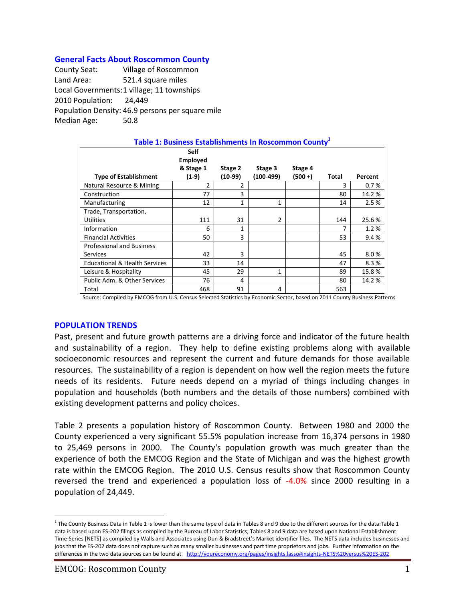#### **General Facts About Roscommon County**

County Seat: Village of Roscommon Land Area: 521.4 square miles Local Governments:1 village; 11 townships 2010 Population: 24,449 Population Density: 46.9 persons per square mile Median Age: 50.8

| Table 1: Business Establishments In Roscommon County <sup>1</sup> |                                                      |                    |                      |                    |       |         |  |  |  |
|-------------------------------------------------------------------|------------------------------------------------------|--------------------|----------------------|--------------------|-------|---------|--|--|--|
| <b>Type of Establishment</b>                                      | <b>Self</b><br><b>Employed</b><br>& Stage 1<br>(1-9) | Stage 2<br>(10-99) | Stage 3<br>(100-499) | Stage 4<br>(500 +) | Total | Percent |  |  |  |
| Natural Resource & Mining                                         | 2                                                    | 2                  |                      |                    | 3     | 0.7%    |  |  |  |
| Construction                                                      | 77                                                   | 3                  |                      |                    | 80    | 14.2%   |  |  |  |
| Manufacturing                                                     | 12                                                   | 1                  | 1                    |                    | 14    | 2.5%    |  |  |  |
| Trade, Transportation,                                            |                                                      |                    |                      |                    |       |         |  |  |  |
| <b>Utilities</b>                                                  | 111                                                  | 31                 | $\overline{2}$       |                    | 144   | 25.6%   |  |  |  |
| Information                                                       | 6                                                    | 1                  |                      |                    |       | 1.2%    |  |  |  |
| <b>Financial Activities</b>                                       | 50                                                   | 3                  |                      |                    | 53    | 9.4%    |  |  |  |
| <b>Professional and Business</b>                                  |                                                      |                    |                      |                    |       |         |  |  |  |
| <b>Services</b>                                                   | 42                                                   | 3                  |                      |                    | 45    | 8.0%    |  |  |  |
| <b>Educational &amp; Health Services</b>                          | 33                                                   | 14                 |                      |                    | 47    | 8.3%    |  |  |  |
| Leisure & Hospitality                                             | 45                                                   | 29                 | 1                    |                    | 89    | 15.8%   |  |  |  |
| Public Adm. & Other Services                                      | 76                                                   | 4                  |                      |                    | 80    | 14.2 %  |  |  |  |
| Total                                                             | 468                                                  | 91                 | 4                    |                    | 563   |         |  |  |  |

## Source: Compiled by EMCOG from U.S. Census Selected Statistics by Economic Sector, based on 2011 County Business Patterns

#### **POPULATION TRENDS**

Past, present and future growth patterns are a driving force and indicator of the future health and sustainability of a region. They help to define existing problems along with available socioeconomic resources and represent the current and future demands for those available resources. The sustainability of a region is dependent on how well the region meets the future needs of its residents. Future needs depend on a myriad of things including changes in population and households (both numbers and the details of those numbers) combined with existing development patterns and policy choices.

Table 2 presents a population history of Roscommon County. Between 1980 and 2000 the County experienced a very significant 55.5% population increase from 16,374 persons in 1980 to 25,469 persons in 2000. The County's population growth was much greater than the experience of both the EMCOG Region and the State of Michigan and was the highest growth rate within the EMCOG Region. The 2010 U.S. Census results show that Roscommon County reversed the trend and experienced a population loss of -4.0% since 2000 resulting in a population of 24,449.

<sup>&</sup>lt;sup>1</sup> The County Business Data in Table 1 is lower than the same type of data in Tables 8 and 9 due to the different sources for the data:Table 1 data is based upon ES-202 filings as compiled by the Bureau of Labor Statistics; Tables 8 and 9 data are based upon National Establishment Time-Series [NETS] as compiled by Walls and Associates using Dun & Bradstreet's Market identifier files. The NETS data includes businesses and jobs that the ES-202 data does not capture such as many smaller businesses and part time proprietors and jobs. Further information on the differences in the two data sources can be found at <http://youreconomy.org/pages/insights.lasso#insights-NETS%20versus%20ES-202>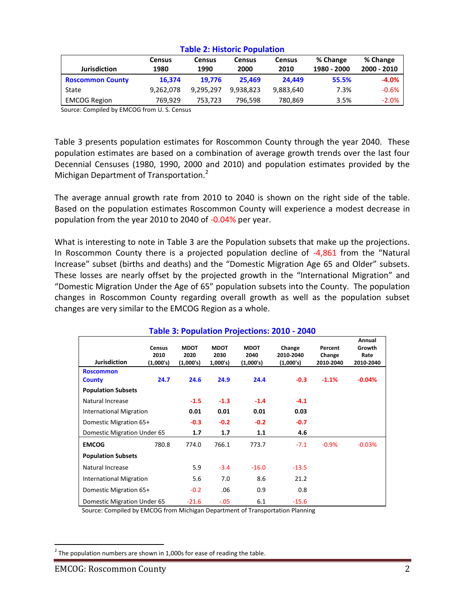| <b>Jurisdiction</b>     | <b>Census</b><br>1980 | <b>Census</b><br>1990 | <b>Census</b><br>2000 | <b>Census</b><br>2010 | % Change<br>1980 - 2000 | % Change<br>2000 - 2010 |
|-------------------------|-----------------------|-----------------------|-----------------------|-----------------------|-------------------------|-------------------------|
| <b>Roscommon County</b> | 16.374                | 19.776                | 25.469                | 24.449                | 55.5%                   | $-4.0%$                 |
| State                   | 9,262,078             | 9.295.297             | 9.938.823             | 9,883,640             | 7.3%                    | $-0.6%$                 |
| <b>EMCOG Region</b>     | 769.929               | 753,723               | 796,598               | 780,869               | 3.5%                    | $-2.0\%$                |

#### **Table 2: Historic Population**

Source: Compiled by EMCOG from U. S. Census

Table 3 presents population estimates for Roscommon County through the year 2040. These population estimates are based on a combination of average growth trends over the last four Decennial Censuses (1980, 1990, 2000 and 2010) and population estimates provided by the Michigan Department of Transportation.<sup>2</sup>

The average annual growth rate from 2010 to 2040 is shown on the right side of the table. Based on the population estimates Roscommon County will experience a modest decrease in population from the year 2010 to 2040 of -0.04% per year.

What is interesting to note in Table 3 are the Population subsets that make up the projections. In Roscommon County there is a projected population decline of -4,861 from the "Natural Increase" subset (births and deaths) and the "Domestic Migration Age 65 and Older" subsets. These losses are nearly offset by the projected growth in the "International Migration" and "Domestic Migration Under the Age of 65" population subsets into the County. The population changes in Roscommon County regarding overall growth as well as the population subset changes are very similar to the EMCOG Region as a whole.

|                                |                                    |                                  |                                |                                  | <u> Fabie 3: Population Projections: 2010 - 2040</u> |                                |                                       |
|--------------------------------|------------------------------------|----------------------------------|--------------------------------|----------------------------------|------------------------------------------------------|--------------------------------|---------------------------------------|
| <b>Jurisdiction</b>            | <b>Census</b><br>2010<br>(1,000's) | <b>MDOT</b><br>2020<br>(1,000's) | <b>MDOT</b><br>2030<br>1,000's | <b>MDOT</b><br>2040<br>(1,000's) | Change<br>2010-2040<br>(1,000's)                     | Percent<br>Change<br>2010-2040 | Annual<br>Growth<br>Rate<br>2010-2040 |
| <b>Roscommon</b>               |                                    |                                  |                                |                                  |                                                      |                                |                                       |
| <b>County</b>                  | 24.7                               | 24.6                             | 24.9                           | 24.4                             | $-0.3$                                               | $-1.1%$                        | $-0.04%$                              |
| <b>Population Subsets</b>      |                                    |                                  |                                |                                  |                                                      |                                |                                       |
| Natural Increase               |                                    | $-1.5$                           | $-1.3$                         | $-1.4$                           | $-4.1$                                               |                                |                                       |
| International Migration        |                                    | 0.01                             | 0.01                           | 0.01                             | 0.03                                                 |                                |                                       |
| Domestic Migration 65+         |                                    | $-0.3$                           | $-0.2$                         | $-0.2$                           | $-0.7$                                               |                                |                                       |
| Domestic Migration Under 65    |                                    | 1.7                              | 1.7                            | 1.1                              | 4.6                                                  |                                |                                       |
| <b>EMCOG</b>                   | 780.8                              | 774.0                            | 766.1                          | 773.7                            | $-7.1$                                               | $-0.9%$                        | $-0.03%$                              |
| <b>Population Subsets</b>      |                                    |                                  |                                |                                  |                                                      |                                |                                       |
| Natural Increase               |                                    | 5.9                              | $-3.4$                         | $-16.0$                          | $-13.5$                                              |                                |                                       |
| <b>International Migration</b> |                                    | 5.6                              | 7.0                            | 8.6                              | 21.2                                                 |                                |                                       |
| Domestic Migration 65+         |                                    | $-0.2$                           | .06                            | 0.9                              | 0.8                                                  |                                |                                       |
| Domestic Migration Under 65    |                                    | $-21.6$                          | $-.05$                         | 6.1                              | $-15.6$                                              |                                |                                       |

# **Table 3: Population Projections: 2010 - 2040**

Source: Compiled by EMCOG from Michigan Department of Transportation Planning

 $^{2}$  The population numbers are shown in 1,000s for ease of reading the table.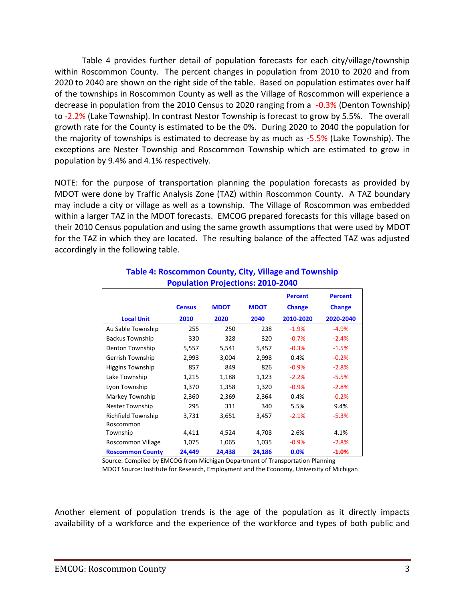Table 4 provides further detail of population forecasts for each city/village/township within Roscommon County. The percent changes in population from 2010 to 2020 and from 2020 to 2040 are shown on the right side of the table. Based on population estimates over half of the townships in Roscommon County as well as the Village of Roscommon will experience a decrease in population from the 2010 Census to 2020 ranging from a -0.3% (Denton Township) to -2.2% (Lake Township). In contrast Nestor Township is forecast to grow by 5.5%. The overall growth rate for the County is estimated to be the 0%. During 2020 to 2040 the population for the majority of townships is estimated to decrease by as much as -5.5% (Lake Township). The exceptions are Nester Township and Roscommon Township which are estimated to grow in population by 9.4% and 4.1% respectively.

NOTE: for the purpose of transportation planning the population forecasts as provided by MDOT were done by Traffic Analysis Zone (TAZ) within Roscommon County. A TAZ boundary may include a city or village as well as a township. The Village of Roscommon was embedded within a larger TAZ in the MDOT forecasts. EMCOG prepared forecasts for this village based on their 2010 Census population and using the same growth assumptions that were used by MDOT for the TAZ in which they are located. The resulting balance of the affected TAZ was adjusted accordingly in the following table.

|                         |               |             |             | <b>Percent</b> | <b>Percent</b> |
|-------------------------|---------------|-------------|-------------|----------------|----------------|
|                         | <b>Census</b> | <b>MDOT</b> | <b>MDOT</b> | <b>Change</b>  | <b>Change</b>  |
| <b>Local Unit</b>       | 2010          | 2020        | 2040        | 2010-2020      | 2020-2040      |
| Au Sable Township       | 255           | 250         | 238         | $-1.9%$        | $-4.9%$        |
| <b>Backus Township</b>  | 330           | 328         | 320         | $-0.7%$        | $-2.4%$        |
| Denton Township         | 5,557         | 5,541       | 5,457       | $-0.3%$        | $-1.5%$        |
| Gerrish Township        | 2,993         | 3,004       | 2,998       | 0.4%           | $-0.2%$        |
| Higgins Township        | 857           | 849         | 826         | $-0.9%$        | $-2.8%$        |
| Lake Township           | 1,215         | 1,188       | 1,123       | $-2.2%$        | $-5.5%$        |
| Lyon Township           | 1,370         | 1,358       | 1,320       | $-0.9%$        | $-2.8%$        |
| Markey Township         | 2,360         | 2,369       | 2,364       | 0.4%           | $-0.2%$        |
| Nester Township         | 295           | 311         | 340         | 5.5%           | 9.4%           |
| Richfield Township      | 3,731         | 3,651       | 3,457       | $-2.1%$        | $-5.3%$        |
| Roscommon               |               |             |             |                |                |
| Township                | 4,411         | 4,524       | 4,708       | 2.6%           | 4.1%           |
| Roscommon Village       | 1,075         | 1,065       | 1,035       | $-0.9%$        | $-2.8%$        |
| <b>Roscommon County</b> | 24,449        | 24,438      | 24,186      | 0.0%           | $-1.0%$        |

### **Table 4: Roscommon County, City, Village and Township Population Projections: 2010-2040**

 Source: Compiled by EMCOG from Michigan Department of Transportation Planning MDOT Source: Institute for Research, Employment and the Economy, University of Michigan

Another element of population trends is the age of the population as it directly impacts availability of a workforce and the experience of the workforce and types of both public and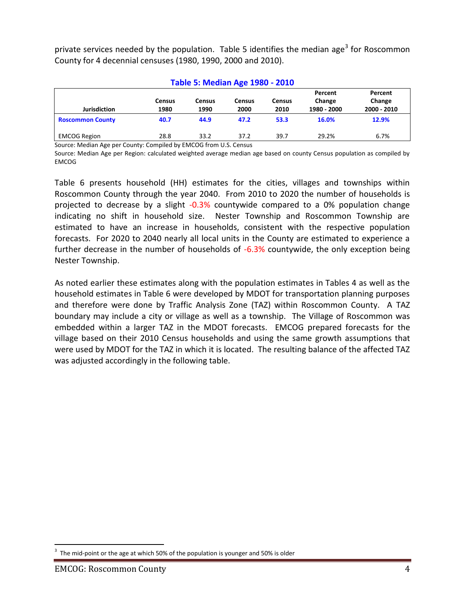private services needed by the population. Table 5 identifies the median age<sup>3</sup> for Roscommon County for 4 decennial censuses (1980, 1990, 2000 and 2010).

| <b>Table 5: Median Age 1980 - 2010</b> |                |                       |                |                       |                                  |                                  |  |  |
|----------------------------------------|----------------|-----------------------|----------------|-----------------------|----------------------------------|----------------------------------|--|--|
| <b>Jurisdiction</b>                    | Census<br>1980 | <b>Census</b><br>1990 | Census<br>2000 | <b>Census</b><br>2010 | Percent<br>Change<br>1980 - 2000 | Percent<br>Change<br>2000 - 2010 |  |  |
| <b>Roscommon County</b>                | 40.7           | 44.9                  | 47.2           | 53.3                  | 16.0%                            | 12.9%                            |  |  |
| <b>EMCOG Region</b>                    | 28.8           | 33.2                  | 37.2           | 39.7                  | 29.2%                            | 6.7%                             |  |  |

Source: Median Age per County: Compiled by EMCOG from U.S. Census

Source: Median Age per Region: calculated weighted average median age based on county Census population as compiled by EMCOG

Table 6 presents household (HH) estimates for the cities, villages and townships within Roscommon County through the year 2040. From 2010 to 2020 the number of households is projected to decrease by a slight -0.3% countywide compared to a 0% population change indicating no shift in household size. Nester Township and Roscommon Township are estimated to have an increase in households, consistent with the respective population forecasts. For 2020 to 2040 nearly all local units in the County are estimated to experience a further decrease in the number of households of -6.3% countywide, the only exception being Nester Township.

As noted earlier these estimates along with the population estimates in Tables 4 as well as the household estimates in Table 6 were developed by MDOT for transportation planning purposes and therefore were done by Traffic Analysis Zone (TAZ) within Roscommon County. A TAZ boundary may include a city or village as well as a township. The Village of Roscommon was embedded within a larger TAZ in the MDOT forecasts. EMCOG prepared forecasts for the village based on their 2010 Census households and using the same growth assumptions that were used by MDOT for the TAZ in which it is located. The resulting balance of the affected TAZ was adjusted accordingly in the following table.

<sup>3</sup> The mid-point or the age at which 50% of the population is younger and 50% is older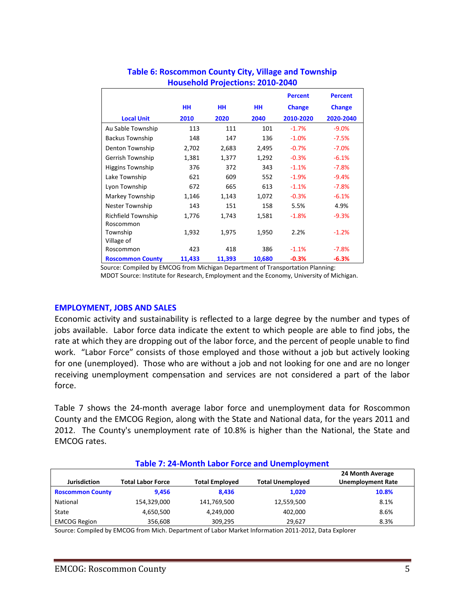|                         |           |        |        | <b>Percent</b> | <b>Percent</b> |
|-------------------------|-----------|--------|--------|----------------|----------------|
|                         | <b>HH</b> | HH.    | HН     | <b>Change</b>  | <b>Change</b>  |
| <b>Local Unit</b>       | 2010      | 2020   | 2040   | 2010-2020      | 2020-2040      |
| Au Sable Township       | 113       | 111    | 101    | $-1.7%$        | $-9.0%$        |
| <b>Backus Township</b>  | 148       | 147    | 136    | $-1.0%$        | $-7.5%$        |
| Denton Township         | 2,702     | 2,683  | 2,495  | $-0.7%$        | $-7.0%$        |
| Gerrish Township        | 1,381     | 1,377  | 1,292  | $-0.3%$        | $-6.1%$        |
| <b>Higgins Township</b> | 376       | 372    | 343    | $-1.1%$        | $-7.8%$        |
| Lake Township           | 621       | 609    | 552    | $-1.9%$        | $-9.4%$        |
| Lyon Township           | 672       | 665    | 613    | $-1.1%$        | $-7.8%$        |
| Markey Township         | 1,146     | 1,143  | 1,072  | $-0.3%$        | $-6.1%$        |
| Nester Township         | 143       | 151    | 158    | 5.5%           | 4.9%           |
| Richfield Township      | 1,776     | 1,743  | 1,581  | $-1.8%$        | $-9.3%$        |
| Roscommon               |           |        |        |                |                |
| Township                | 1,932     | 1,975  | 1,950  | 2.2%           | $-1.2%$        |
| Village of              |           |        |        |                |                |
| Roscommon               | 423       | 418    | 386    | $-1.1%$        | $-7.8%$        |
| <b>Roscommon County</b> | 11,433    | 11,393 | 10,680 | $-0.3%$        | $-6.3%$        |

# **Table 6: Roscommon County City, Village and Township Household Projections: 2010-2040**

Source: Compiled by EMCOG from Michigan Department of Transportation Planning:

MDOT Source: Institute for Research, Employment and the Economy, University of Michigan.

### **EMPLOYMENT, JOBS AND SALES**

Economic activity and sustainability is reflected to a large degree by the number and types of jobs available. Labor force data indicate the extent to which people are able to find jobs, the rate at which they are dropping out of the labor force, and the percent of people unable to find work. "Labor Force" consists of those employed and those without a job but actively looking for one (unemployed). Those who are without a job and not looking for one and are no longer receiving unemployment compensation and services are not considered a part of the labor force.

Table 7 shows the 24-month average labor force and unemployment data for Roscommon County and the EMCOG Region, along with the State and National data, for the years 2011 and 2012. The County's unemployment rate of 10.8% is higher than the National, the State and EMCOG rates.

| <u> TADIC 7. Z4-IVIUIIIII LADUL FUILE ANU UNEMPIOVIMENT</u> |                          |                       |                         |                                              |  |  |  |  |
|-------------------------------------------------------------|--------------------------|-----------------------|-------------------------|----------------------------------------------|--|--|--|--|
| <b>Jurisdiction</b>                                         | <b>Total Labor Force</b> | <b>Total Employed</b> | <b>Total Unemployed</b> | 24 Month Average<br><b>Unemployment Rate</b> |  |  |  |  |
| <b>Roscommon County</b>                                     | 9.456                    | 8.436                 | 1,020                   | 10.8%                                        |  |  |  |  |
| National                                                    | 154,329,000              | 141,769,500           | 12,559,500              | 8.1%                                         |  |  |  |  |
| State                                                       | 4,650,500                | 4,249,000             | 402,000                 | 8.6%                                         |  |  |  |  |
| <b>EMCOG Region</b>                                         | 356,608                  | 309,295               | 29,627                  | 8.3%                                         |  |  |  |  |

#### **Table 7: 24-Month Labor Force and Unemployment**

Source: Compiled by EMCOG from Mich. Department of Labor Market Information 2011-2012, Data Explorer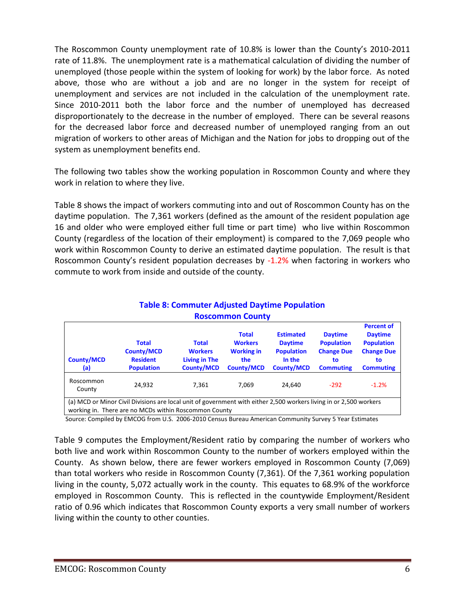The Roscommon County unemployment rate of 10.8% is lower than the County's 2010-2011 rate of 11.8%. The unemployment rate is a mathematical calculation of dividing the number of unemployed (those people within the system of looking for work) by the labor force. As noted above, those who are without a job and are no longer in the system for receipt of unemployment and services are not included in the calculation of the unemployment rate. Since 2010-2011 both the labor force and the number of unemployed has decreased disproportionately to the decrease in the number of employed. There can be several reasons for the decreased labor force and decreased number of unemployed ranging from an out migration of workers to other areas of Michigan and the Nation for jobs to dropping out of the system as unemployment benefits end.

The following two tables show the working population in Roscommon County and where they work in relation to where they live.

Table 8 shows the impact of workers commuting into and out of Roscommon County has on the daytime population. The 7,361 workers (defined as the amount of the resident population age 16 and older who were employed either full time or part time) who live within Roscommon County (regardless of the location of their employment) is compared to the 7,069 people who work within Roscommon County to derive an estimated daytime population. The result is that Roscommon County's resident population decreases by -1.2% when factoring in workers who commute to work from inside and outside of the county.

| <b>ROSCOMMON COUNTY</b>                                                                                                                                                     |                                                                           |                                                                      |                                                                                 |                                                                                        |                                                                                    |                                                                                                         |
|-----------------------------------------------------------------------------------------------------------------------------------------------------------------------------|---------------------------------------------------------------------------|----------------------------------------------------------------------|---------------------------------------------------------------------------------|----------------------------------------------------------------------------------------|------------------------------------------------------------------------------------|---------------------------------------------------------------------------------------------------------|
| <b>County/MCD</b><br>(a)                                                                                                                                                    | <b>Total</b><br><b>County/MCD</b><br><b>Resident</b><br><b>Population</b> | <b>Total</b><br><b>Workers</b><br>Living in The<br><b>County/MCD</b> | <b>Total</b><br><b>Workers</b><br><b>Working in</b><br>the<br><b>County/MCD</b> | <b>Estimated</b><br><b>Daytime</b><br><b>Population</b><br>In the<br><b>County/MCD</b> | <b>Daytime</b><br><b>Population</b><br><b>Change Due</b><br>to<br><b>Commuting</b> | <b>Percent of</b><br><b>Daytime</b><br><b>Population</b><br><b>Change Due</b><br>to<br><b>Commuting</b> |
| Roscommon<br>County                                                                                                                                                         | 24,932                                                                    | 7,361                                                                | 7,069                                                                           | 24,640                                                                                 | $-292$                                                                             | $-1.2%$                                                                                                 |
| (a) MCD or Minor Civil Divisions are local unit of government with either 2,500 workers living in or 2,500 workers<br>working in. There are no MCDs within Roscommon County |                                                                           |                                                                      |                                                                                 |                                                                                        |                                                                                    |                                                                                                         |

# **Table 8: Commuter Adjusted Daytime Population Roscommon County**

Source: Compiled by EMCOG from U.S. 2006-2010 Census Bureau American Community Survey 5 Year Estimates

Table 9 computes the Employment/Resident ratio by comparing the number of workers who both live and work within Roscommon County to the number of workers employed within the County. As shown below, there are fewer workers employed in Roscommon County (7,069) than total workers who reside in Roscommon County (7,361). Of the 7,361 working population living in the county, 5,072 actually work in the county. This equates to 68.9% of the workforce employed in Roscommon County. This is reflected in the countywide Employment/Resident ratio of 0.96 which indicates that Roscommon County exports a very small number of workers living within the county to other counties.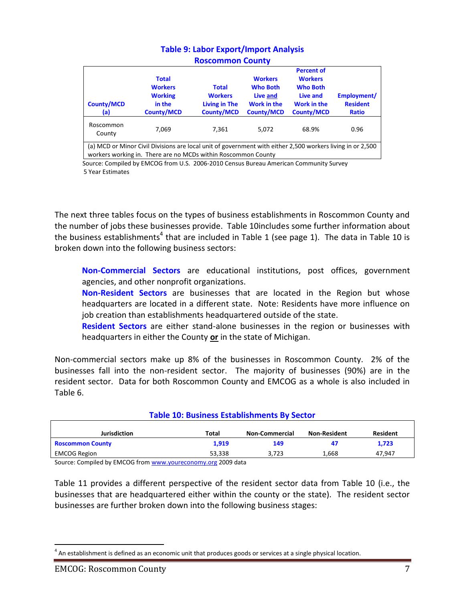| <b>County/MCD</b><br>(a)                                                                                                                                                    | <b>Total</b><br><b>Workers</b><br><b>Working</b><br>in the<br><b>County/MCD</b> | <b>Total</b><br><b>Workers</b><br>Living in The<br><b>County/MCD</b> | <b>Workers</b><br><b>Who Both</b><br>Live and<br><b>Work in the</b><br><b>County/MCD</b> | <b>Percent of</b><br><b>Workers</b><br><b>Who Both</b><br>Live and<br>Work in the<br><b>County/MCD</b> | Employment/<br><b>Resident</b><br><b>Ratio</b> |  |
|-----------------------------------------------------------------------------------------------------------------------------------------------------------------------------|---------------------------------------------------------------------------------|----------------------------------------------------------------------|------------------------------------------------------------------------------------------|--------------------------------------------------------------------------------------------------------|------------------------------------------------|--|
| Roscommon<br>County                                                                                                                                                         | 7,069                                                                           | 7.361                                                                | 5.072                                                                                    | 68.9%                                                                                                  | 0.96                                           |  |
| (a) MCD or Minor Civil Divisions are local unit of government with either 2,500 workers living in or 2,500<br>workers working in. There are no MCDs within Roscommon County |                                                                                 |                                                                      |                                                                                          |                                                                                                        |                                                |  |

# **Table 9: Labor Export/Import Analysis Roscommon County**

 Source: Compiled by EMCOG from U.S. 2006-2010 Census Bureau American Community Survey 5 Year Estimates

The next three tables focus on the types of business establishments in Roscommon County and the number of jobs these businesses provide. Table 10includes some further information about the business establishments<sup>4</sup> that are included in Table 1 (see page 1). The data in Table 10 is broken down into the following business sectors:

**Non-Commercial Sectors** are educational institutions, post offices, government agencies, and other nonprofit organizations.

**Non-Resident Sectors** are businesses that are located in the Region but whose headquarters are located in a different state. Note: Residents have more influence on job creation than establishments headquartered outside of the state.

**Resident Sectors** are either stand-alone businesses in the region or businesses with headquarters in either the County **or** in the state of Michigan.

Non-commercial sectors make up 8% of the businesses in Roscommon County. 2% of the businesses fall into the non-resident sector. The majority of businesses (90%) are in the resident sector. Data for both Roscommon County and EMCOG as a whole is also included in Table 6.

| <u>. art 2 = 2 . basilless =startisticities by Sector</u> |        |                       |                     |                 |  |  |  |
|-----------------------------------------------------------|--------|-----------------------|---------------------|-----------------|--|--|--|
| <b>Jurisdiction</b>                                       | Total  | <b>Non-Commercial</b> | <b>Non-Resident</b> | <b>Resident</b> |  |  |  |
| <b>Roscommon County</b>                                   | 1,919  | 149                   | -47                 | 1,723           |  |  |  |
| <b>EMCOG Region</b>                                       | 53,338 | 3,723                 | 1,668               | 47.947          |  |  |  |

# **Table 10: Business Establishments By Sector**

Source: Compiled by EMCOG fro[m www.youreconomy.org](http://www.youreconomy.org/) 2009 data

Table 11 provides a different perspective of the resident sector data from Table 10 (i.e., the businesses that are headquartered either within the county or the state). The resident sector businesses are further broken down into the following business stages:

 $<sup>4</sup>$  An establishment is defined as an economic unit that produces goods or services at a single physical location.</sup>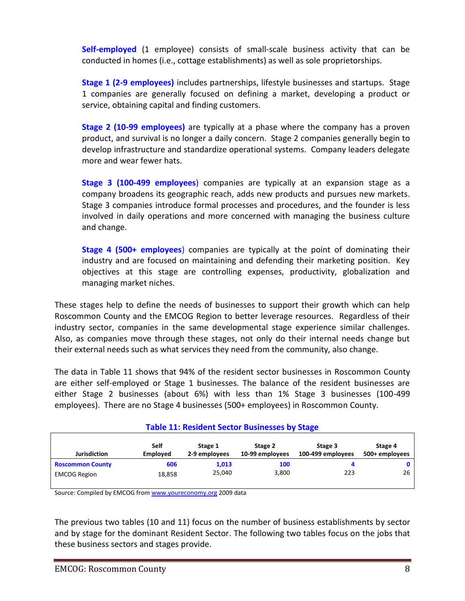**Self-employed** (1 employee) consists of small-scale business activity that can be conducted in homes (i.e., cottage establishments) as well as sole proprietorships.

**Stage 1 (2-9 employees)** includes partnerships, lifestyle businesses and startups. Stage 1 companies are generally focused on defining a market, developing a product or service, obtaining capital and finding customers.

**Stage 2 (10-99 employees)** are typically at a phase where the company has a proven product, and survival is no longer a daily concern. Stage 2 companies generally begin to develop infrastructure and standardize operational systems. Company leaders delegate more and wear fewer hats.

**Stage 3 (100-499 employees**) companies are typically at an expansion stage as a company broadens its geographic reach, adds new products and pursues new markets. Stage 3 companies introduce formal processes and procedures, and the founder is less involved in daily operations and more concerned with managing the business culture and change.

**Stage 4 (500+ employees**) companies are typically at the point of dominating their industry and are focused on maintaining and defending their marketing position. Key objectives at this stage are controlling expenses, productivity, globalization and managing market niches.

These stages help to define the needs of businesses to support their growth which can help Roscommon County and the EMCOG Region to better leverage resources. Regardless of their industry sector, companies in the same developmental stage experience similar challenges. Also, as companies move through these stages, not only do their internal needs change but their external needs such as what services they need from the community, also change.

The data in Table 11 shows that 94% of the resident sector businesses in Roscommon County are either self-employed or Stage 1 businesses. The balance of the resident businesses are either Stage 2 businesses (about 6%) with less than 1% Stage 3 businesses (100-499 employees). There are no Stage 4 businesses (500+ employees) in Roscommon County.

| <b>Jurisdiction</b>     | Self            | Stage 1       | Stage 2         | Stage 3           | Stage 4        |
|-------------------------|-----------------|---------------|-----------------|-------------------|----------------|
|                         | <b>Employed</b> | 2-9 employees | 10-99 employees | 100-499 employees | 500+ employees |
| <b>Roscommon County</b> | 606             | 1,013         | 100             | 223               | 0              |
| <b>EMCOG Region</b>     | 18,858          | 25,040        | 3,800           |                   | 26             |
|                         |                 |               |                 |                   |                |

# **Table 11: Resident Sector Businesses by Stage**

Source: Compiled by EMCOG fro[m www.youreconomy.org](http://www.youreconomy.org/) 2009 data

The previous two tables (10 and 11) focus on the number of business establishments by sector and by stage for the dominant Resident Sector. The following two tables focus on the jobs that these business sectors and stages provide.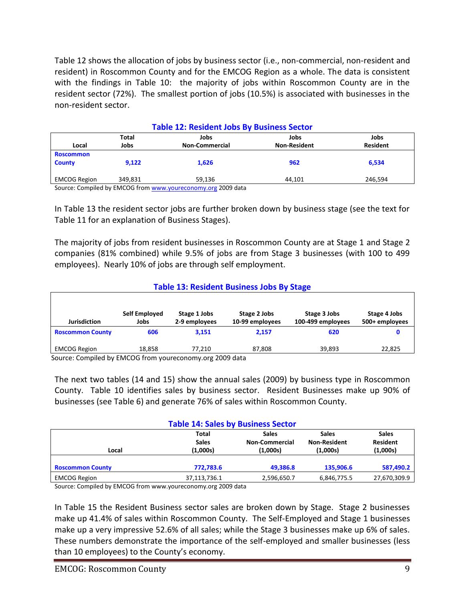Table 12 shows the allocation of jobs by business sector (i.e., non-commercial, non-resident and resident) in Roscommon County and for the EMCOG Region as a whole. The data is consistent with the findings in Table 10: the majority of jobs within Roscommon County are in the resident sector (72%). The smallest portion of jobs (10.5%) is associated with businesses in the non-resident sector.

| <b>Table 12: Resident Jobs By Business Sector</b> |            |                       |                     |                 |  |
|---------------------------------------------------|------------|-----------------------|---------------------|-----------------|--|
|                                                   | Total      | Jobs                  | Jobs                | Jobs            |  |
| Local                                             | Jobs       | <b>Non-Commercial</b> | <b>Non-Resident</b> | <b>Resident</b> |  |
| <b>Roscommon</b>                                  |            |                       |                     |                 |  |
| <b>County</b>                                     | 9.122      | 1,626                 | 962                 | 6,534           |  |
|                                                   |            |                       |                     |                 |  |
| <b>EMCOG Region</b>                               | 349.831    | 59,136                | 44.101              | 246.594         |  |
| - - - -                                           | $-0.00000$ | $\cdots$              |                     |                 |  |

Source: Compiled by EMCOG fro[m www.youreconomy.org](http://www.youreconomy.org/) 2009 data

In Table 13 the resident sector jobs are further broken down by business stage (see the text for Table 11 for an explanation of Business Stages).

The majority of jobs from resident businesses in Roscommon County are at Stage 1 and Stage 2 companies (81% combined) while 9.5% of jobs are from Stage 3 businesses (with 100 to 499 employees). Nearly 10% of jobs are through self employment.

### **Table 13: Resident Business Jobs By Stage**

| <b>Jurisdiction</b>                | Self Employed<br>Jobs | Stage 1 Jobs<br>2-9 employees | Stage 2 Jobs<br>10-99 employees                                                                                                                                                                                                                                                                                                                                                                                                                                                               | Stage 3 Jobs<br>100-499 employees | Stage 4 Jobs<br>500+ employees |
|------------------------------------|-----------------------|-------------------------------|-----------------------------------------------------------------------------------------------------------------------------------------------------------------------------------------------------------------------------------------------------------------------------------------------------------------------------------------------------------------------------------------------------------------------------------------------------------------------------------------------|-----------------------------------|--------------------------------|
| <b>Roscommon County</b>            | 606                   | 3.151                         | 2.157                                                                                                                                                                                                                                                                                                                                                                                                                                                                                         | 620                               |                                |
| <b>EMCOG Region</b>                | 18.858                | 77.210                        | 87.808                                                                                                                                                                                                                                                                                                                                                                                                                                                                                        | 39.893                            | 22,825                         |
| $\cdot$ .<br>.<br>$\sim$<br>$\sim$ | ------                |                               | $\begin{array}{ccccccccccccccccc} \hline \multicolumn{3}{c} \multicolumn{3}{c} \multicolumn{3}{c} \multicolumn{3}{c} \multicolumn{3}{c} \multicolumn{3}{c} \multicolumn{3}{c} \multicolumn{3}{c} \multicolumn{3}{c} \multicolumn{3}{c} \multicolumn{3}{c} \multicolumn{3}{c} \multicolumn{3}{c} \multicolumn{3}{c} \multicolumn{3}{c} \multicolumn{3}{c} \multicolumn{3}{c} \multicolumn{3}{c} \multicolumn{3}{c} \multicolumn{3}{c} \multicolumn{3}{c} \multicolumn{3}{c} \multicolumn{3}{c$ |                                   |                                |

Source: Compiled by EMCOG from youreconomy.org 2009 data

The next two tables (14 and 15) show the annual sales (2009) by business type in Roscommon County. Table 10 identifies sales by business sector. Resident Businesses make up 90% of businesses (see Table 6) and generate 76% of sales within Roscommon County.

| <b>Table 14: Sales by Business Sector</b> |                                          |                                                   |                                                 |                                             |  |  |
|-------------------------------------------|------------------------------------------|---------------------------------------------------|-------------------------------------------------|---------------------------------------------|--|--|
| Local                                     | <b>Total</b><br><b>Sales</b><br>(1,000s) | <b>Sales</b><br><b>Non-Commercial</b><br>(1,000s) | <b>Sales</b><br><b>Non-Resident</b><br>(1,000s) | <b>Sales</b><br><b>Resident</b><br>(1,000s) |  |  |
| <b>Roscommon County</b>                   | 772,783.6                                | 49.386.8                                          | 135,906.6                                       | 587,490.2                                   |  |  |
| <b>EMCOG Region</b>                       | 37,113,736.1                             | 2,596,650.7                                       | 6,846,775.5                                     | 27,670,309.9                                |  |  |

Source: Compiled by EMCOG from www.youreconomy.org 2009 data

In Table 15 the Resident Business sector sales are broken down by Stage. Stage 2 businesses make up 41.4% of sales within Roscommon County. The Self-Employed and Stage 1 businesses make up a very impressive 52.6% of all sales; while the Stage 3 businesses make up 6% of sales. These numbers demonstrate the importance of the self-employed and smaller businesses (less than 10 employees) to the County's economy.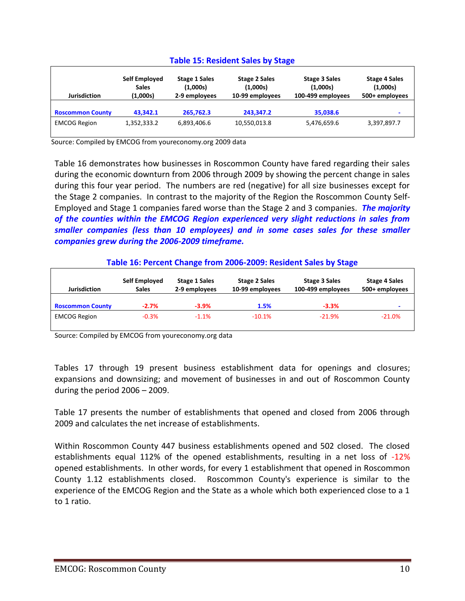| <b>Table 15: Resident Sales by Stage</b> |                                           |                                                   |                                                     |                                                       |                                                    |  |
|------------------------------------------|-------------------------------------------|---------------------------------------------------|-----------------------------------------------------|-------------------------------------------------------|----------------------------------------------------|--|
| <b>Jurisdiction</b>                      | Self Employed<br><b>Sales</b><br>(1,000s) | <b>Stage 1 Sales</b><br>(1,000s)<br>2-9 employees | <b>Stage 2 Sales</b><br>(1,000s)<br>10-99 employees | <b>Stage 3 Sales</b><br>(1,000s)<br>100-499 employees | <b>Stage 4 Sales</b><br>(1,000s)<br>500+ employees |  |
| <b>Roscommon County</b>                  | 43.342.1                                  | 265,762.3                                         | 243,347.2                                           | 35,038.6                                              | -                                                  |  |
| <b>EMCOG Region</b>                      | 1,352,333.2                               | 6,893,406.6                                       | 10,550,013.8                                        | 5,476,659.6                                           | 3,397,897.7                                        |  |

Source: Compiled by EMCOG from youreconomy.org 2009 data

Table 16 demonstrates how businesses in Roscommon County have fared regarding their sales during the economic downturn from 2006 through 2009 by showing the percent change in sales during this four year period. The numbers are red (negative) for all size businesses except for the Stage 2 companies. In contrast to the majority of the Region the Roscommon County Self-Employed and Stage 1 companies fared worse than the Stage 2 and 3 companies. *The majority of the counties within the EMCOG Region experienced very slight reductions in sales from smaller companies (less than 10 employees) and in some cases sales for these smaller companies grew during the 2006-2009 timeframe.*

|  | Table 16: Percent Change from 2006-2009: Resident Sales by Stage |
|--|------------------------------------------------------------------|
|--|------------------------------------------------------------------|

| <b>Jurisdiction</b>     | Self Employed<br><b>Sales</b> | <b>Stage 1 Sales</b><br>2-9 employees | <b>Stage 2 Sales</b><br>10-99 employees | Stage 3 Sales<br>100-499 employees | <b>Stage 4 Sales</b><br>500+ employees |
|-------------------------|-------------------------------|---------------------------------------|-----------------------------------------|------------------------------------|----------------------------------------|
| <b>Roscommon County</b> | $-2.7\%$                      | $-3.9\%$                              | 1.5%                                    | $-3.3%$                            |                                        |
| <b>EMCOG Region</b>     | $-0.3%$                       | $-1.1%$                               | $-10.1%$                                | $-21.9%$                           | $-21.0%$                               |

Source: Compiled by EMCOG from youreconomy.org data

Tables 17 through 19 present business establishment data for openings and closures; expansions and downsizing; and movement of businesses in and out of Roscommon County during the period 2006 – 2009.

Table 17 presents the number of establishments that opened and closed from 2006 through 2009 and calculates the net increase of establishments.

Within Roscommon County 447 business establishments opened and 502 closed. The closed establishments equal 112% of the opened establishments, resulting in a net loss of -12% opened establishments. In other words, for every 1 establishment that opened in Roscommon County 1.12 establishments closed. Roscommon County's experience is similar to the experience of the EMCOG Region and the State as a whole which both experienced close to a 1 to 1 ratio.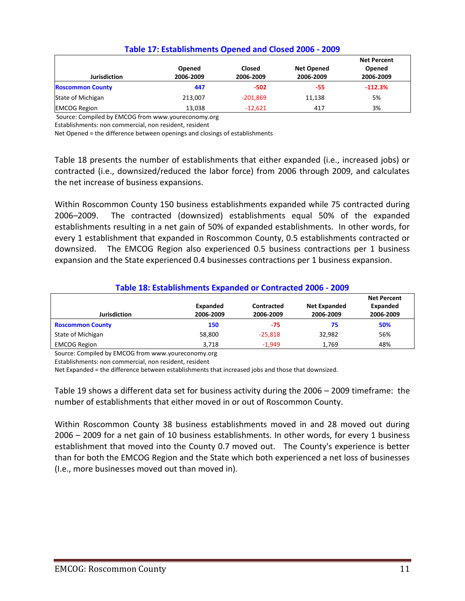|                         | Opened    | <b>Closed</b> | <b>Net Opened</b> | <b>Net Percent</b><br>Opened |
|-------------------------|-----------|---------------|-------------------|------------------------------|
| <b>Jurisdiction</b>     | 2006-2009 | 2006-2009     | 2006-2009         | 2006-2009                    |
| <b>Roscommon County</b> | 447       | $-502$        | -55               | $-112.3%$                    |
| State of Michigan       | 213.007   | $-201,869$    | 11,138            | 5%                           |
| <b>EMCOG Region</b>     | 13,038    | $-12,621$     | 417               | 3%                           |

### **Table 17: Establishments Opened and Closed 2006 - 2009**

Source: Compiled by EMCOG from www.youreconomy.org

Establishments: non commercial, non resident, resident

Net Opened = the difference between openings and closings of establishments

Table 18 presents the number of establishments that either expanded (i.e., increased jobs) or contracted (i.e., downsized/reduced the labor force) from 2006 through 2009, and calculates the net increase of business expansions.

Within Roscommon County 150 business establishments expanded while 75 contracted during 2006–2009. The contracted (downsized) establishments equal 50% of the expanded establishments resulting in a net gain of 50% of expanded establishments. In other words, for every 1 establishment that expanded in Roscommon County, 0.5 establishments contracted or downsized. The EMCOG Region also experienced 0.5 business contractions per 1 business expansion and the State experienced 0.4 businesses contractions per 1 business expansion.

# **Table 18: Establishments Expanded or Contracted 2006 - 2009**

| <b>Jurisdiction</b>     | Expanded<br>2006-2009 | Contracted<br>2006-2009 | <b>Net Expanded</b><br>2006-2009 | <b>Net Percent</b><br>Expanded<br>2006-2009 |
|-------------------------|-----------------------|-------------------------|----------------------------------|---------------------------------------------|
| <b>Roscommon County</b> | 150                   | -75                     | 75                               | 50%                                         |
| State of Michigan       | 58,800                | $-25,818$               | 32,982                           | 56%                                         |
| <b>EMCOG Region</b>     | 3.718                 | $-1.949$                | 1.769                            | 48%                                         |

Source: Compiled by EMCOG from www.youreconomy.org

Establishments: non commercial, non resident, resident

Net Expanded = the difference between establishments that increased jobs and those that downsized.

Table 19 shows a different data set for business activity during the 2006 – 2009 timeframe: the number of establishments that either moved in or out of Roscommon County.

Within Roscommon County 38 business establishments moved in and 28 moved out during 2006 – 2009 for a net gain of 10 business establishments. In other words, for every 1 business establishment that moved into the County 0.7 moved out. The County's experience is better than for both the EMCOG Region and the State which both experienced a net loss of businesses (I.e., more businesses moved out than moved in).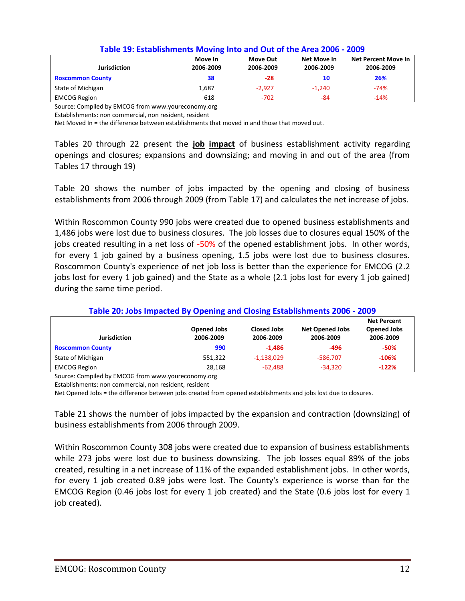| <b>Jurisdiction</b>     | Move In<br>2006-2009 | Move Out<br>2006-2009 | Net Move In<br>2006-2009 | Net Percent Move In<br>2006-2009 |
|-------------------------|----------------------|-----------------------|--------------------------|----------------------------------|
| <b>Roscommon County</b> | 38                   | $-28$                 | 10                       | 26%                              |
| State of Michigan       | 1,687                | $-2,927$              | $-1.240$                 | $-74%$                           |
| <b>EMCOG Region</b>     | 618                  | $-702$                | -84                      | $-14%$                           |

#### **Table 19: Establishments Moving Into and Out of the Area 2006 - 2009**

Source: Compiled by EMCOG from www.youreconomy.org

Establishments: non commercial, non resident, resident

Net Moved In = the difference between establishments that moved in and those that moved out.

Tables 20 through 22 present the **job impact** of business establishment activity regarding openings and closures; expansions and downsizing; and moving in and out of the area (from Tables 17 through 19)

Table 20 shows the number of jobs impacted by the opening and closing of business establishments from 2006 through 2009 (from Table 17) and calculates the net increase of jobs.

Within Roscommon County 990 jobs were created due to opened business establishments and 1,486 jobs were lost due to business closures. The job losses due to closures equal 150% of the jobs created resulting in a net loss of -50% of the opened establishment jobs. In other words, for every 1 job gained by a business opening, 1.5 jobs were lost due to business closures. Roscommon County's experience of net job loss is better than the experience for EMCOG (2.2 jobs lost for every 1 job gained) and the State as a whole (2.1 jobs lost for every 1 job gained) during the same time period.

|                         | <b>Opened Jobs</b> | <b>Closed Jobs</b> | <b>Net Opened Jobs</b> | <b>Net Percent</b><br><b>Opened Jobs</b> |
|-------------------------|--------------------|--------------------|------------------------|------------------------------------------|
| <b>Jurisdiction</b>     | 2006-2009          | 2006-2009          | 2006-2009              | 2006-2009                                |
| <b>Roscommon County</b> | 990                | $-1.486$           | -496                   | $-50%$                                   |
| State of Michigan       | 551,322            | $-1,138,029$       | -586,707               | $-106%$                                  |
| <b>EMCOG Region</b>     | 28,168             | $-62,488$          | $-34,320$              | $-122%$                                  |

#### **Table 20: Jobs Impacted By Opening and Closing Establishments 2006 - 2009**

Source: Compiled by EMCOG from www.youreconomy.org

Net Opened Jobs = the difference between jobs created from opened establishments and jobs lost due to closures.

Table 21 shows the number of jobs impacted by the expansion and contraction (downsizing) of business establishments from 2006 through 2009.

Within Roscommon County 308 jobs were created due to expansion of business establishments while 273 jobs were lost due to business downsizing. The job losses equal 89% of the jobs created, resulting in a net increase of 11% of the expanded establishment jobs. In other words, for every 1 job created 0.89 jobs were lost. The County's experience is worse than for the EMCOG Region (0.46 jobs lost for every 1 job created) and the State (0.6 jobs lost for every 1 job created).

Establishments: non commercial, non resident, resident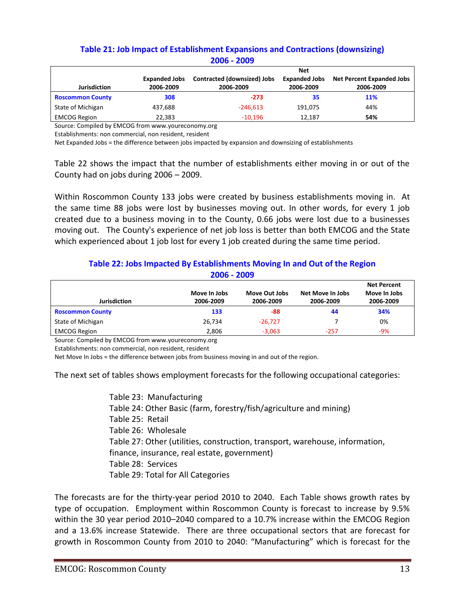# **Table 21: Job Impact of Establishment Expansions and Contractions (downsizing) 2006 - 2009**

|                         |                      | <b>Net</b>                  |                      |                                  |  |  |
|-------------------------|----------------------|-----------------------------|----------------------|----------------------------------|--|--|
|                         | <b>Expanded Jobs</b> | Contracted (downsized) Jobs | <b>Expanded Jobs</b> | <b>Net Percent Expanded Jobs</b> |  |  |
| <b>Jurisdiction</b>     | 2006-2009            | 2006-2009                   | 2006-2009            | 2006-2009                        |  |  |
| <b>Roscommon County</b> | 308                  | $-273$                      | 35                   | <b>11%</b>                       |  |  |
| State of Michigan       | 437.688              | $-246.613$                  | 191.075              | 44%                              |  |  |
| <b>EMCOG Region</b>     | 22,383               | $-10.196$                   | 12.187               | 54%                              |  |  |

Source: Compiled by EMCOG from www.youreconomy.org

Establishments: non commercial, non resident, resident

Net Expanded Jobs = the difference between jobs impacted by expansion and downsizing of establishments

Table 22 shows the impact that the number of establishments either moving in or out of the County had on jobs during 2006 – 2009.

Within Roscommon County 133 jobs were created by business establishments moving in. At the same time 88 jobs were lost by businesses moving out. In other words, for every 1 job created due to a business moving in to the County, 0.66 jobs were lost due to a businesses moving out. The County's experience of net job loss is better than both EMCOG and the State which experienced about 1 job lost for every 1 job created during the same time period.

## **Table 22: Jobs Impacted By Establishments Moving In and Out of the Region 2006 - 2009**

|                         |                           |                            |                               | <b>Net Percent</b>        |
|-------------------------|---------------------------|----------------------------|-------------------------------|---------------------------|
| <b>Jurisdiction</b>     | Move In Jobs<br>2006-2009 | Move Out Jobs<br>2006-2009 | Net Move In Jobs<br>2006-2009 | Move In Jobs<br>2006-2009 |
|                         |                           |                            |                               |                           |
| <b>Roscommon County</b> | 133                       | -88                        | 44                            | 34%                       |
| State of Michigan       | 26,734                    | $-26.727$                  |                               | 0%                        |
| <b>EMCOG Region</b>     | 2,806                     | $-3,063$                   | $-257$                        | -9%                       |

Source: Compiled by EMCOG from www.youreconomy.org

Establishments: non commercial, non resident, resident

Net Move In Jobs = the difference between jobs from business moving in and out of the region.

The next set of tables shows employment forecasts for the following occupational categories:

Table 23: Manufacturing Table 24: Other Basic (farm, forestry/fish/agriculture and mining) Table 25: Retail Table 26: Wholesale Table 27: Other (utilities, construction, transport, warehouse, information, finance, insurance, real estate, government) Table 28: Services Table 29: Total for All Categories

The forecasts are for the thirty-year period 2010 to 2040. Each Table shows growth rates by type of occupation. Employment within Roscommon County is forecast to increase by 9.5% within the 30 year period 2010–2040 compared to a 10.7% increase within the EMCOG Region and a 13.6% increase Statewide. There are three occupational sectors that are forecast for growth in Roscommon County from 2010 to 2040: "Manufacturing" which is forecast for the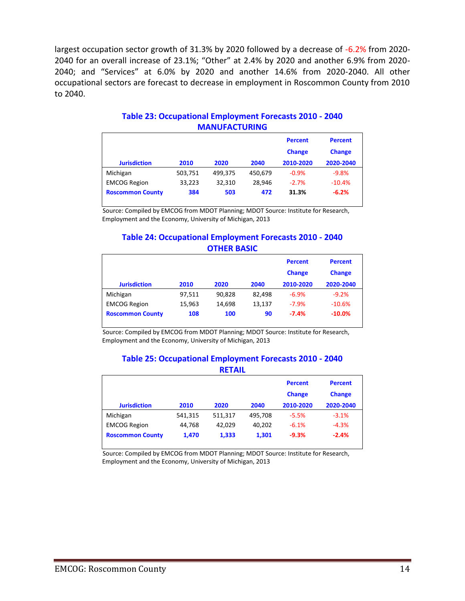largest occupation sector growth of 31.3% by 2020 followed by a decrease of -6.2% from 2020- 2040 for an overall increase of 23.1%; "Other" at 2.4% by 2020 and another 6.9% from 2020- 2040; and "Services" at 6.0% by 2020 and another 14.6% from 2020-2040. All other occupational sectors are forecast to decrease in employment in Roscommon County from 2010 to 2040.

| <b>Jurisdiction</b>     | 2010    | 2020    | 2040    | <b>Percent</b><br><b>Change</b><br>2010-2020 | <b>Percent</b><br><b>Change</b><br>2020-2040 |
|-------------------------|---------|---------|---------|----------------------------------------------|----------------------------------------------|
| Michigan                | 503,751 | 499,375 | 450,679 | $-0.9%$                                      | $-9.8%$                                      |
| <b>EMCOG Region</b>     | 33,223  | 32,310  | 28.946  | $-2.7%$                                      | $-10.4%$                                     |
| <b>Roscommon County</b> | 384     | 503     | 472     | 31.3%                                        | $-6.2%$                                      |

# **Table 23: Occupational Employment Forecasts 2010 - 2040 MANUFACTURING**

Source: Compiled by EMCOG from MDOT Planning; MDOT Source: Institute for Research, Employment and the Economy, University of Michigan, 2013

## **Table 24: Occupational Employment Forecasts 2010 - 2040 OTHER BASIC**

| <b>Jurisdiction</b>     | 2010   | 2020   | 2040   | <b>Percent</b><br><b>Change</b><br>2010-2020 | <b>Percent</b><br><b>Change</b><br>2020-2040 |
|-------------------------|--------|--------|--------|----------------------------------------------|----------------------------------------------|
|                         |        |        |        |                                              |                                              |
| Michigan                | 97,511 | 90.828 | 82.498 | $-6.9%$                                      | $-9.2%$                                      |
| <b>EMCOG Region</b>     | 15,963 | 14.698 | 13,137 | $-7.9%$                                      | $-10.6%$                                     |
| <b>Roscommon County</b> | 108    | 100    | 90     | $-7.4%$                                      | $-10.0%$                                     |

Source: Compiled by EMCOG from MDOT Planning; MDOT Source: Institute for Research, Employment and the Economy, University of Michigan, 2013

#### **Table 25: Occupational Employment Forecasts 2010 - 2040 RETAIL**

| -------                 |         |         |         |                                 |                                 |  |  |
|-------------------------|---------|---------|---------|---------------------------------|---------------------------------|--|--|
|                         |         |         |         | <b>Percent</b><br><b>Change</b> | <b>Percent</b><br><b>Change</b> |  |  |
| <b>Jurisdiction</b>     | 2010    | 2020    | 2040    | 2010-2020                       | 2020-2040                       |  |  |
| Michigan                | 541,315 | 511,317 | 495.708 | $-5.5%$                         | $-3.1%$                         |  |  |
| <b>EMCOG Region</b>     | 44,768  | 42.029  | 40,202  | $-6.1%$                         | $-4.3%$                         |  |  |
| <b>Roscommon County</b> | 1.470   | 1,333   | 1,301   | $-9.3%$                         | $-2.4%$                         |  |  |

Source: Compiled by EMCOG from MDOT Planning; MDOT Source: Institute for Research, Employment and the Economy, University of Michigan, 2013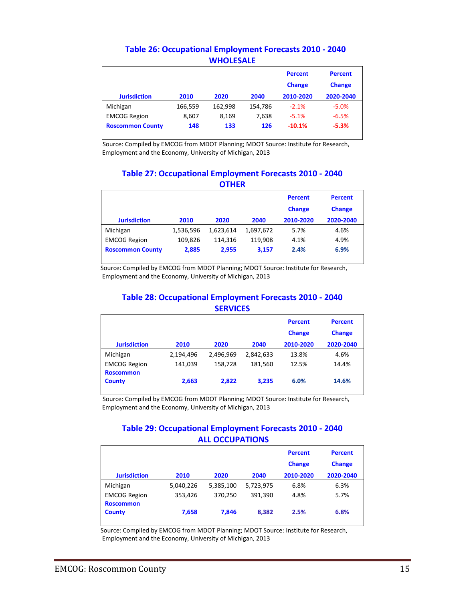|                         |         |         |         | <b>Percent</b><br><b>Change</b> | <b>Percent</b><br><b>Change</b> |
|-------------------------|---------|---------|---------|---------------------------------|---------------------------------|
| <b>Jurisdiction</b>     | 2010    | 2020    | 2040    | 2010-2020                       | 2020-2040                       |
| Michigan                | 166,559 | 162.998 | 154,786 | $-2.1%$                         | $-5.0%$                         |
| <b>EMCOG Region</b>     | 8,607   | 8,169   | 7.638   | $-5.1%$                         | $-6.5%$                         |
| <b>Roscommon County</b> | 148     | 133     | 126     | $-10.1%$                        | $-5.3%$                         |

# **Table 26: Occupational Employment Forecasts 2010 - 2040 WHOLESALE**

Source: Compiled by EMCOG from MDOT Planning; MDOT Source: Institute for Research, Employment and the Economy, University of Michigan, 2013

### **Table 27: Occupational Employment Forecasts 2010 - 2040 OTHER**

|                         |           |           |           | <b>Percent</b><br><b>Change</b> | <b>Percent</b><br><b>Change</b> |
|-------------------------|-----------|-----------|-----------|---------------------------------|---------------------------------|
| <b>Jurisdiction</b>     | 2010      | 2020      | 2040      | 2010-2020                       | 2020-2040                       |
| Michigan                | 1,536,596 | 1,623,614 | 1,697,672 | 5.7%                            | 4.6%                            |
| <b>EMCOG Region</b>     | 109.826   | 114.316   | 119.908   | 4.1%                            | 4.9%                            |
| <b>Roscommon County</b> | 2,885     | 2,955     | 3,157     | 2.4%                            | 6.9%                            |

Source: Compiled by EMCOG from MDOT Planning; MDOT Source: Institute for Research, Employment and the Economy, University of Michigan, 2013

## **Table 28: Occupational Employment Forecasts 2010 - 2040 SERVICES**

| <b>Jurisdiction</b> | 2010      | 2020      | 2040      | <b>Percent</b><br><b>Change</b><br>2010-2020 | <b>Percent</b><br><b>Change</b><br>2020-2040 |
|---------------------|-----------|-----------|-----------|----------------------------------------------|----------------------------------------------|
| Michigan            | 2,194,496 | 2,496,969 | 2,842,633 | 13.8%                                        | 4.6%                                         |
| <b>EMCOG Region</b> | 141,039   | 158,728   | 181,560   | 12.5%                                        | 14.4%                                        |
| <b>Roscommon</b>    |           |           |           |                                              |                                              |
| <b>County</b>       | 2,663     | 2,822     | 3,235     | 6.0%                                         | 14.6%                                        |

Source: Compiled by EMCOG from MDOT Planning; MDOT Source: Institute for Research, Employment and the Economy, University of Michigan, 2013

# **Table 29: Occupational Employment Forecasts 2010 - 2040 ALL OCCUPATIONS**

|                                         |           |           |           | <b>Percent</b><br><b>Change</b> | <b>Percent</b><br><b>Change</b> |
|-----------------------------------------|-----------|-----------|-----------|---------------------------------|---------------------------------|
| <b>Jurisdiction</b>                     | 2010      | 2020      | 2040      | 2010-2020                       | 2020-2040                       |
| Michigan                                | 5,040,226 | 5,385,100 | 5,723,975 | 6.8%                            | 6.3%                            |
| <b>EMCOG Region</b><br><b>Roscommon</b> | 353,426   | 370,250   | 391,390   | 4.8%                            | 5.7%                            |
| <b>County</b>                           | 7,658     | 7,846     | 8,382     | 2.5%                            | 6.8%                            |

 Source: Compiled by EMCOG from MDOT Planning; MDOT Source: Institute for Research, Employment and the Economy, University of Michigan, 2013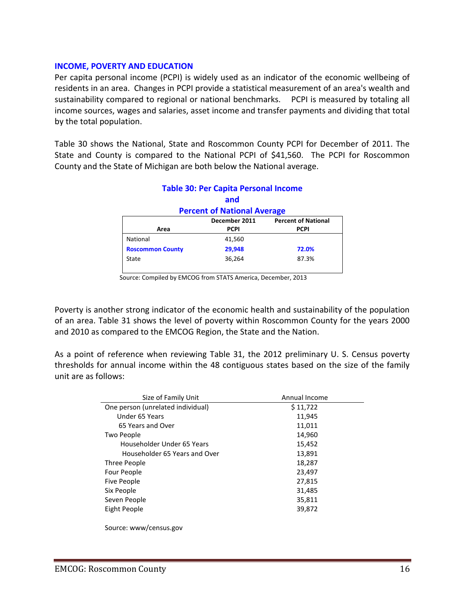#### **INCOME, POVERTY AND EDUCATION**

Per capita personal income (PCPI) is widely used as an indicator of the economic wellbeing of residents in an area. Changes in PCPI provide a statistical measurement of an area's wealth and sustainability compared to regional or national benchmarks. PCPI is measured by totaling all income sources, wages and salaries, asset income and transfer payments and dividing that total by the total population.

Table 30 shows the National, State and Roscommon County PCPI for December of 2011. The State and County is compared to the National PCPI of \$41,560. The PCPI for Roscommon County and the State of Michigan are both below the National average.

|                                             | <u>. www.sec.edu.edu.edu.edu.edu.edu.edu.edu.ed</u> |             |  |  |  |  |  |
|---------------------------------------------|-----------------------------------------------------|-------------|--|--|--|--|--|
|                                             | and                                                 |             |  |  |  |  |  |
| <b>Percent of National Average</b>          |                                                     |             |  |  |  |  |  |
| <b>Percent of National</b><br>December 2011 |                                                     |             |  |  |  |  |  |
| Area                                        | <b>PCPI</b>                                         | <b>PCPI</b> |  |  |  |  |  |
| National                                    | 41,560                                              |             |  |  |  |  |  |
| <b>Roscommon County</b>                     | 29,948                                              | 72.0%       |  |  |  |  |  |
| State                                       | 36,264                                              | 87.3%       |  |  |  |  |  |
|                                             |                                                     |             |  |  |  |  |  |

# **Table 30: Per Capita Personal Income**

Source: Compiled by EMCOG from STATS America, December, 2013

Poverty is another strong indicator of the economic health and sustainability of the population of an area. Table 31 shows the level of poverty within Roscommon County for the years 2000 and 2010 as compared to the EMCOG Region, the State and the Nation.

As a point of reference when reviewing Table 31, the 2012 preliminary U. S. Census poverty thresholds for annual income within the 48 contiguous states based on the size of the family unit are as follows:

| Size of Family Unit               | Annual Income |  |  |  |
|-----------------------------------|---------------|--|--|--|
| One person (unrelated individual) | \$11,722      |  |  |  |
| Under 65 Years                    | 11,945        |  |  |  |
| 65 Years and Over                 | 11,011        |  |  |  |
| Two People                        | 14,960        |  |  |  |
| Householder Under 65 Years        | 15,452        |  |  |  |
| Householder 65 Years and Over     | 13,891        |  |  |  |
| Three People                      | 18,287        |  |  |  |
| Four People                       | 23,497        |  |  |  |
| Five People                       | 27,815        |  |  |  |
| Six People                        | 31,485        |  |  |  |
| Seven People                      | 35,811        |  |  |  |
| Eight People                      | 39,872        |  |  |  |
|                                   |               |  |  |  |
|                                   |               |  |  |  |

Source: www/census.gov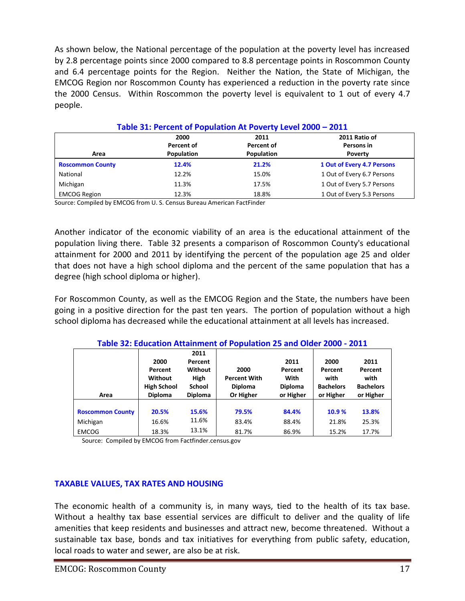As shown below, the National percentage of the population at the poverty level has increased by 2.8 percentage points since 2000 compared to 8.8 percentage points in Roscommon County and 6.4 percentage points for the Region. Neither the Nation, the State of Michigan, the EMCOG Region nor Roscommon County has experienced a reduction in the poverty rate since the 2000 Census. Within Roscommon the poverty level is equivalent to 1 out of every 4.7 people.

|                         | 2000<br>Percent of | 2011<br>Percent of | 2011 Ratio of<br>Persons in |
|-------------------------|--------------------|--------------------|-----------------------------|
| Area                    | Population         | Population         | Poverty                     |
| <b>Roscommon County</b> | 12.4%              | 21.2%              | 1 Out of Every 4.7 Persons  |
| National                | 12.2%              | 15.0%              | 1 Out of Every 6.7 Persons  |
| Michigan                | 11.3%              | 17.5%              | 1 Out of Every 5.7 Persons  |
| <b>EMCOG Region</b>     | 12.3%              | 18.8%              | 1 Out of Every 5.3 Persons  |

**Table 31: Percent of Population At Poverty Level 2000 – 2011**

Source: Compiled by EMCOG from U. S. Census Bureau American FactFinder

Another indicator of the economic viability of an area is the educational attainment of the population living there. Table 32 presents a comparison of Roscommon County's educational attainment for 2000 and 2011 by identifying the percent of the population age 25 and older that does not have a high school diploma and the percent of the same population that has a degree (high school diploma or higher).

For Roscommon County, as well as the EMCOG Region and the State, the numbers have been going in a positive direction for the past ten years. The portion of population without a high school diploma has decreased while the educational attainment at all levels has increased.

|                         | 2000<br>Percent<br>Without<br><b>High School</b> | 2011<br>Percent<br>Without<br><b>High</b><br><b>School</b> | 2000<br><b>Percent With</b><br><b>Diploma</b> | 2011<br>Percent<br>With<br><b>Diploma</b> | 2000<br>Percent<br>with<br><b>Bachelors</b> | 2011<br>Percent<br>with<br><b>Bachelors</b> |
|-------------------------|--------------------------------------------------|------------------------------------------------------------|-----------------------------------------------|-------------------------------------------|---------------------------------------------|---------------------------------------------|
| Area                    | <b>Diploma</b>                                   | <b>Diploma</b>                                             | Or Higher                                     | or Higher                                 | or Higher                                   | or Higher                                   |
| <b>Roscommon County</b> | 20.5%                                            | 15.6%                                                      | 79.5%                                         | 84.4%                                     | 10.9%                                       | 13.8%                                       |
| Michigan                | 16.6%                                            | 11.6%                                                      | 83.4%                                         | 88.4%                                     | 21.8%                                       | 25.3%                                       |
| <b>EMCOG</b>            | 18.3%                                            | 13.1%                                                      | 81.7%                                         | 86.9%                                     | 15.2%                                       | 17.7%                                       |

# **Table 32: Education Attainment of Population 25 and Older 2000 - 2011**

Source: Compiled by EMCOG from Factfinder.census.gov

# **TAXABLE VALUES, TAX RATES AND HOUSING**

The economic health of a community is, in many ways, tied to the health of its tax base. Without a healthy tax base essential services are difficult to deliver and the quality of life amenities that keep residents and businesses and attract new, become threatened. Without a sustainable tax base, bonds and tax initiatives for everything from public safety, education, local roads to water and sewer, are also be at risk.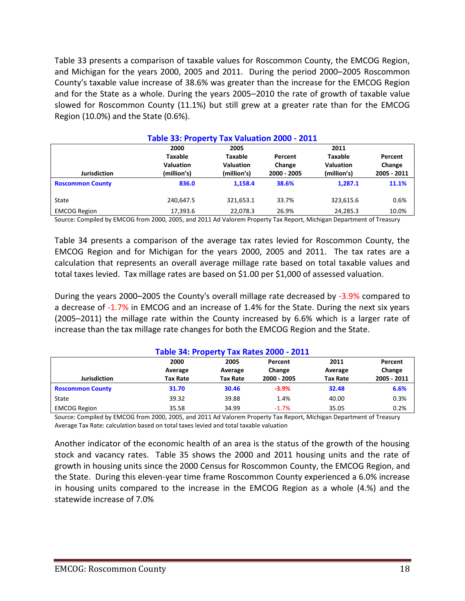Table 33 presents a comparison of taxable values for Roscommon County, the EMCOG Region, and Michigan for the years 2000, 2005 and 2011. During the period 2000–2005 Roscommon County's taxable value increase of 38.6% was greater than the increase for the EMCOG Region and for the State as a whole. During the years 2005–2010 the rate of growth of taxable value slowed for Roscommon County (11.1%) but still grew at a greater rate than for the EMCOG Region (10.0%) and the State (0.6%).

| Table 33: Property Tax Valuation 2000 - 2011 |                  |                  |             |                  |             |  |
|----------------------------------------------|------------------|------------------|-------------|------------------|-------------|--|
|                                              | 2000             | 2005             |             | 2011             |             |  |
|                                              | Taxable          | <b>Taxable</b>   | Percent     | <b>Taxable</b>   | Percent     |  |
|                                              | <b>Valuation</b> | <b>Valuation</b> | Change      | <b>Valuation</b> | Change      |  |
| <b>Jurisdiction</b>                          | (million's)      | (million's)      | 2000 - 2005 | (million's)      | 2005 - 2011 |  |
| <b>Roscommon County</b>                      | 836.0            | 1.158.4          | 38.6%       | 1.287.1          | 11.1%       |  |
| State                                        | 240,647.5        | 321,653.1        | 33.7%       | 323,615.6        | 0.6%        |  |
| <b>EMCOG Region</b>                          | 17,393.6         | 22,078.3         | 26.9%       | 24,285.3         | 10.0%       |  |

Source: Compiled by EMCOG from 2000, 2005, and 2011 Ad Valorem Property Tax Report, Michigan Department of Treasury

Table 34 presents a comparison of the average tax rates levied for Roscommon County, the EMCOG Region and for Michigan for the years 2000, 2005 and 2011. The tax rates are a calculation that represents an overall average millage rate based on total taxable values and total taxes levied. Tax millage rates are based on \$1.00 per \$1,000 of assessed valuation.

During the years 2000–2005 the County's overall millage rate decreased by -3.9% compared to a decrease of -1.7% in EMCOG and an increase of 1.4% for the State. During the next six years (2005–2011) the millage rate within the County increased by 6.6% which is a larger rate of increase than the tax millage rate changes for both the EMCOG Region and the State.

|                         |                 |                 | Table 54. Property Tax Rates 2000 - 2011 |                 |             |
|-------------------------|-----------------|-----------------|------------------------------------------|-----------------|-------------|
|                         | 2000            | 2005            | Percent                                  | 2011            | Percent     |
|                         | Average         | Average         | Change                                   | Average         | Change      |
| <b>Jurisdiction</b>     | <b>Tax Rate</b> | <b>Tax Rate</b> | 2000 - 2005                              | <b>Tax Rate</b> | 2005 - 2011 |
| <b>Roscommon County</b> | 31.70           | 30.46           | $-3.9%$                                  | 32.48           | 6.6%        |
| State                   | 39.32           | 39.88           | 1.4%                                     | 40.00           | 0.3%        |
| <b>EMCOG Region</b>     | 35.58           | 34.99           | $-1.7%$                                  | 35.05           | 0.2%        |

## **Table 34: Property Tax Rates 2000 - 2011**

Source: Compiled by EMCOG from 2000, 2005, and 2011 Ad Valorem Property Tax Report, Michigan Department of Treasury Average Tax Rate: calculation based on total taxes levied and total taxable valuation

Another indicator of the economic health of an area is the status of the growth of the housing stock and vacancy rates. Table 35 shows the 2000 and 2011 housing units and the rate of growth in housing units since the 2000 Census for Roscommon County, the EMCOG Region, and the State. During this eleven-year time frame Roscommon County experienced a 6.0% increase in housing units compared to the increase in the EMCOG Region as a whole (4.%) and the statewide increase of 7.0%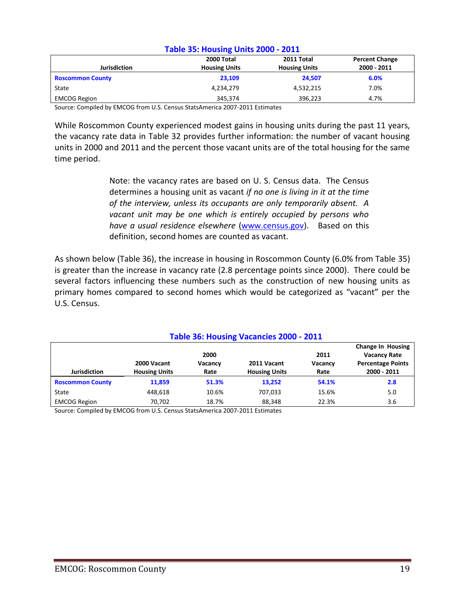| Table 55. Housing Units 2000 - 2011 |                      |                      |                       |  |
|-------------------------------------|----------------------|----------------------|-----------------------|--|
|                                     | 2000 Total           | 2011 Total           | <b>Percent Change</b> |  |
| <b>Jurisdiction</b>                 | <b>Housing Units</b> | <b>Housing Units</b> | 2000 - 2011           |  |
| <b>Roscommon County</b>             | 23.109               | 24.507               | 6.0%                  |  |
| State                               | 4,234,279            | 4,532,215            | 7.0%                  |  |
| <b>EMCOG Region</b>                 | 345.374              | 396.223              | 4.7%                  |  |

#### **Table 35: Housing Units 2000 - 2011**

Source: Compiled by EMCOG from U.S. Census StatsAmerica 2007-2011 Estimates

While Roscommon County experienced modest gains in housing units during the past 11 years, the vacancy rate data in Table 32 provides further information: the number of vacant housing units in 2000 and 2011 and the percent those vacant units are of the total housing for the same time period.

> Note: the vacancy rates are based on U. S. Census data. The Census determines a housing unit as vacant *if no one is living in it at the time of the interview, unless its occupants are only temporarily absent. A vacant unit may be one which is entirely occupied by persons who have a usual residence elsewhere* [\(www.census.gov\)](http://www.census.gov/). Based on this definition, second homes are counted as vacant.

As shown below (Table 36), the increase in housing in Roscommon County (6.0% from Table 35) is greater than the increase in vacancy rate (2.8 percentage points since 2000). There could be several factors influencing these numbers such as the construction of new housing units as primary homes compared to second homes which would be categorized as "vacant" per the U.S. Census.

| Table 36: Housing Vacancies 2000 - 2011 |                      |         |                      |                          |                          |
|-----------------------------------------|----------------------|---------|----------------------|--------------------------|--------------------------|
|                                         |                      |         |                      | <b>Change In Housing</b> |                          |
|                                         |                      | 2000    |                      | 2011                     | <b>Vacancy Rate</b>      |
|                                         | 2000 Vacant          | Vacancy | 2011 Vacant          | Vacancy                  | <b>Percentage Points</b> |
| <b>Jurisdiction</b>                     | <b>Housing Units</b> | Rate    | <b>Housing Units</b> | Rate                     | 2000 - 2011              |
| <b>Roscommon County</b>                 | 11,859               | 51.3%   | 13.252               | 54.1%                    | 2.8                      |
| State                                   | 448.618              | 10.6%   | 707.033              | 15.6%                    | 5.0                      |
| <b>EMCOG Region</b>                     | 70,702               | 18.7%   | 88,348               | 22.3%                    | 3.6                      |

Source: Compiled by EMCOG from U.S. Census StatsAmerica 2007-2011 Estimates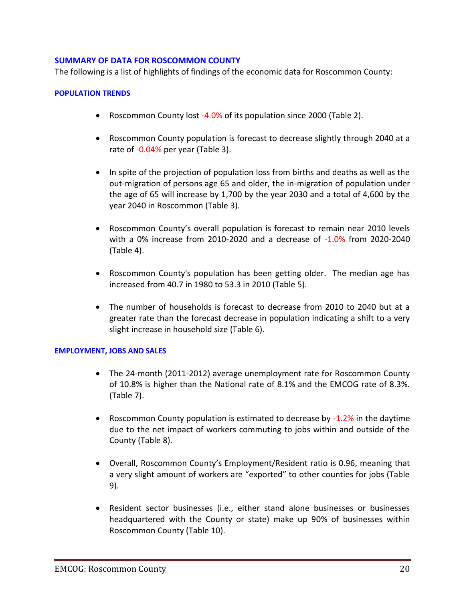#### **SUMMARY OF DATA FOR ROSCOMMON COUNTY**

The following is a list of highlights of findings of the economic data for Roscommon County:

#### **POPULATION TRENDS**

- Roscommon County lost -4.0% of its population since 2000 (Table 2).
- Roscommon County population is forecast to decrease slightly through 2040 at a rate of -0.04% per year (Table 3).
- In spite of the projection of population loss from births and deaths as well as the out-migration of persons age 65 and older, the in-migration of population under the age of 65 will increase by 1,700 by the year 2030 and a total of 4,600 by the year 2040 in Roscommon (Table 3).
- Roscommon County's overall population is forecast to remain near 2010 levels with a 0% increase from 2010-2020 and a decrease of -1.0% from 2020-2040 (Table 4).
- Roscommon County's population has been getting older. The median age has increased from 40.7 in 1980 to 53.3 in 2010 (Table 5).
- The number of households is forecast to decrease from 2010 to 2040 but at a greater rate than the forecast decrease in population indicating a shift to a very slight increase in household size (Table 6).

#### **EMPLOYMENT, JOBS AND SALES**

- The 24-month (2011-2012) average unemployment rate for Roscommon County of 10.8% is higher than the National rate of 8.1% and the EMCOG rate of 8.3%. (Table 7).
- Roscommon County population is estimated to decrease by -1.2% in the daytime due to the net impact of workers commuting to jobs within and outside of the County (Table 8).
- Overall, Roscommon County's Employment/Resident ratio is 0.96, meaning that a very slight amount of workers are "exported" to other counties for jobs (Table 9).
- Resident sector businesses (i.e., either stand alone businesses or businesses headquartered with the County or state) make up 90% of businesses within Roscommon County (Table 10).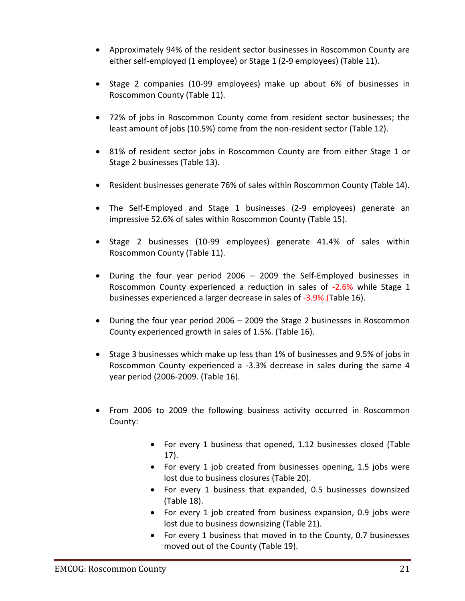- Approximately 94% of the resident sector businesses in Roscommon County are either self-employed (1 employee) or Stage 1 (2-9 employees) (Table 11).
- Stage 2 companies (10-99 employees) make up about 6% of businesses in Roscommon County (Table 11).
- 72% of jobs in Roscommon County come from resident sector businesses; the least amount of jobs (10.5%) come from the non-resident sector (Table 12).
- 81% of resident sector jobs in Roscommon County are from either Stage 1 or Stage 2 businesses (Table 13).
- Resident businesses generate 76% of sales within Roscommon County (Table 14).
- The Self-Employed and Stage 1 businesses (2-9 employees) generate an impressive 52.6% of sales within Roscommon County (Table 15).
- Stage 2 businesses (10-99 employees) generate 41.4% of sales within Roscommon County (Table 11).
- During the four year period 2006 2009 the Self-Employed businesses in Roscommon County experienced a reduction in sales of -2.6% while Stage 1 businesses experienced a larger decrease in sales of -3.9%. (Table 16).
- During the four year period 2006 2009 the Stage 2 businesses in Roscommon County experienced growth in sales of 1.5%. (Table 16).
- Stage 3 businesses which make up less than 1% of businesses and 9.5% of jobs in Roscommon County experienced a -3.3% decrease in sales during the same 4 year period (2006-2009. (Table 16).
- From 2006 to 2009 the following business activity occurred in Roscommon County:
	- For every 1 business that opened, 1.12 businesses closed (Table 17).
	- For every 1 job created from businesses opening, 1.5 jobs were lost due to business closures (Table 20).
	- For every 1 business that expanded, 0.5 businesses downsized (Table 18).
	- For every 1 job created from business expansion, 0.9 jobs were lost due to business downsizing (Table 21).
	- For every 1 business that moved in to the County, 0.7 businesses moved out of the County (Table 19).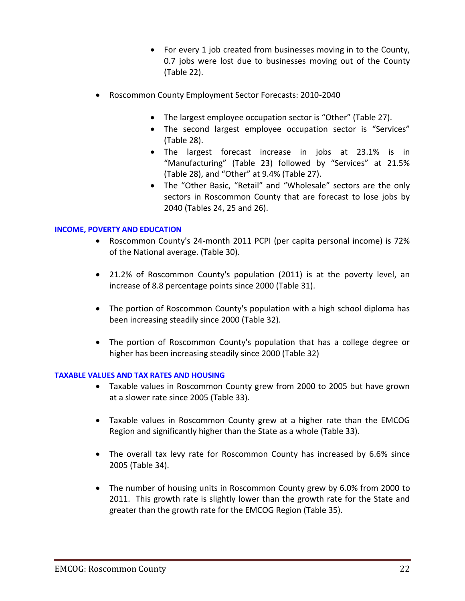- For every 1 job created from businesses moving in to the County, 0.7 jobs were lost due to businesses moving out of the County (Table 22).
- Roscommon County Employment Sector Forecasts: 2010-2040
	- The largest employee occupation sector is "Other" (Table 27).
	- The second largest employee occupation sector is "Services" (Table 28).
	- The largest forecast increase in jobs at 23.1% is in "Manufacturing" (Table 23) followed by "Services" at 21.5% (Table 28), and "Other" at 9.4% (Table 27).
	- The "Other Basic, "Retail" and "Wholesale" sectors are the only sectors in Roscommon County that are forecast to lose jobs by 2040 (Tables 24, 25 and 26).

## **INCOME, POVERTY AND EDUCATION**

- Roscommon County's 24-month 2011 PCPI (per capita personal income) is 72% of the National average. (Table 30).
- 21.2% of Roscommon County's population (2011) is at the poverty level, an increase of 8.8 percentage points since 2000 (Table 31).
- The portion of Roscommon County's population with a high school diploma has been increasing steadily since 2000 (Table 32).
- The portion of Roscommon County's population that has a college degree or higher has been increasing steadily since 2000 (Table 32)

### **TAXABLE VALUES AND TAX RATES AND HOUSING**

- Taxable values in Roscommon County grew from 2000 to 2005 but have grown at a slower rate since 2005 (Table 33).
- Taxable values in Roscommon County grew at a higher rate than the EMCOG Region and significantly higher than the State as a whole (Table 33).
- The overall tax levy rate for Roscommon County has increased by 6.6% since 2005 (Table 34).
- The number of housing units in Roscommon County grew by 6.0% from 2000 to 2011. This growth rate is slightly lower than the growth rate for the State and greater than the growth rate for the EMCOG Region (Table 35).